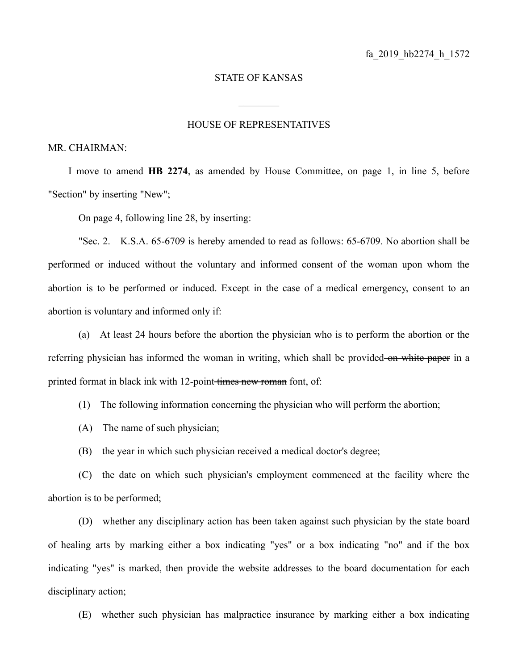## STATE OF KANSAS

## HOUSE OF REPRESENTATIVES

 $\frac{1}{2}$ 

MR. CHAIRMAN:

I move to amend **HB 2274**, as amended by House Committee, on page 1, in line 5, before "Section" by inserting "New";

On page 4, following line 28, by inserting:

"Sec. 2. K.S.A. 65-6709 is hereby amended to read as follows: 65-6709. No abortion shall be performed or induced without the voluntary and informed consent of the woman upon whom the abortion is to be performed or induced. Except in the case of a medical emergency, consent to an abortion is voluntary and informed only if:

(a) At least 24 hours before the abortion the physician who is to perform the abortion or the referring physician has informed the woman in writing, which shall be provided on white paper in a printed format in black ink with 12-point times new roman font, of:

(1) The following information concerning the physician who will perform the abortion;

(A) The name of such physician;

(B) the year in which such physician received a medical doctor's degree;

(C) the date on which such physician's employment commenced at the facility where the abortion is to be performed;

(D) whether any disciplinary action has been taken against such physician by the state board of healing arts by marking either a box indicating "yes" or a box indicating "no" and if the box indicating "yes" is marked, then provide the website addresses to the board documentation for each disciplinary action;

(E) whether such physician has malpractice insurance by marking either a box indicating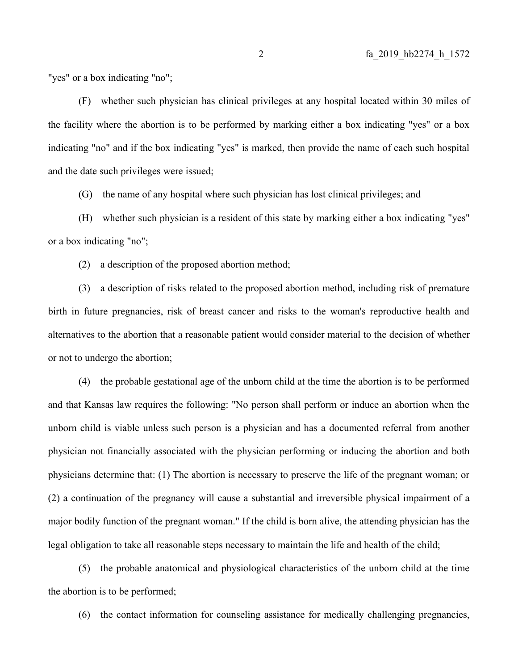"yes" or a box indicating "no";

(F) whether such physician has clinical privileges at any hospital located within 30 miles of the facility where the abortion is to be performed by marking either a box indicating "yes" or a box indicating "no" and if the box indicating "yes" is marked, then provide the name of each such hospital and the date such privileges were issued;

(G) the name of any hospital where such physician has lost clinical privileges; and

(H) whether such physician is a resident of this state by marking either a box indicating "yes" or a box indicating "no";

(2) a description of the proposed abortion method;

(3) a description of risks related to the proposed abortion method, including risk of premature birth in future pregnancies, risk of breast cancer and risks to the woman's reproductive health and alternatives to the abortion that a reasonable patient would consider material to the decision of whether or not to undergo the abortion;

(4) the probable gestational age of the unborn child at the time the abortion is to be performed and that Kansas law requires the following: "No person shall perform or induce an abortion when the unborn child is viable unless such person is a physician and has a documented referral from another physician not financially associated with the physician performing or inducing the abortion and both physicians determine that: (1) The abortion is necessary to preserve the life of the pregnant woman; or (2) a continuation of the pregnancy will cause a substantial and irreversible physical impairment of a major bodily function of the pregnant woman." If the child is born alive, the attending physician has the legal obligation to take all reasonable steps necessary to maintain the life and health of the child;

(5) the probable anatomical and physiological characteristics of the unborn child at the time the abortion is to be performed;

(6) the contact information for counseling assistance for medically challenging pregnancies,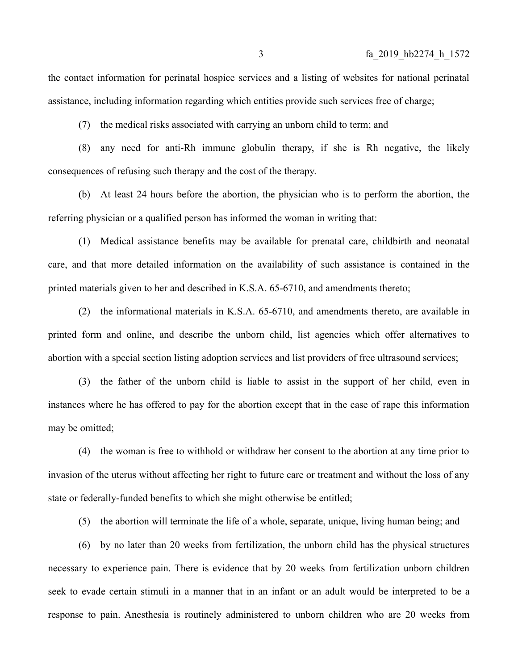the contact information for perinatal hospice services and a listing of websites for national perinatal assistance, including information regarding which entities provide such services free of charge;

(7) the medical risks associated with carrying an unborn child to term; and

(8) any need for anti-Rh immune globulin therapy, if she is Rh negative, the likely consequences of refusing such therapy and the cost of the therapy.

(b) At least 24 hours before the abortion, the physician who is to perform the abortion, the referring physician or a qualified person has informed the woman in writing that:

(1) Medical assistance benefits may be available for prenatal care, childbirth and neonatal care, and that more detailed information on the availability of such assistance is contained in the printed materials given to her and described in K.S.A. 65-6710, and amendments thereto;

(2) the informational materials in K.S.A. 65-6710, and amendments thereto, are available in printed form and online, and describe the unborn child, list agencies which offer alternatives to abortion with a special section listing adoption services and list providers of free ultrasound services;

(3) the father of the unborn child is liable to assist in the support of her child, even in instances where he has offered to pay for the abortion except that in the case of rape this information may be omitted;

(4) the woman is free to withhold or withdraw her consent to the abortion at any time prior to invasion of the uterus without affecting her right to future care or treatment and without the loss of any state or federally-funded benefits to which she might otherwise be entitled;

(5) the abortion will terminate the life of a whole, separate, unique, living human being; and

(6) by no later than 20 weeks from fertilization, the unborn child has the physical structures necessary to experience pain. There is evidence that by 20 weeks from fertilization unborn children seek to evade certain stimuli in a manner that in an infant or an adult would be interpreted to be a response to pain. Anesthesia is routinely administered to unborn children who are 20 weeks from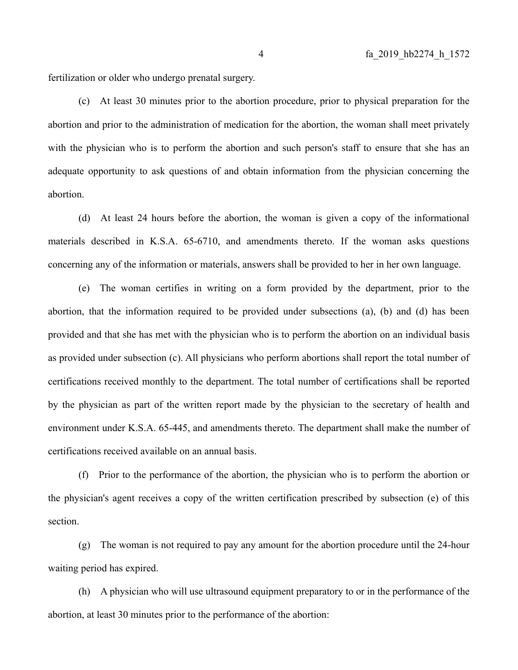fertilization or older who undergo prenatal surgery.

(c) At least 30 minutes prior to the abortion procedure, prior to physical preparation for the abortion and prior to the administration of medication for the abortion, the woman shall meet privately with the physician who is to perform the abortion and such person's staff to ensure that she has an adequate opportunity to ask questions of and obtain information from the physician concerning the abortion.

(d) At least 24 hours before the abortion, the woman is given a copy of the informational materials described in K.S.A. 65-6710, and amendments thereto. If the woman asks questions concerning any of the information or materials, answers shall be provided to her in her own language.

(e) The woman certifies in writing on a form provided by the department, prior to the abortion, that the information required to be provided under subsections (a), (b) and (d) has been provided and that she has met with the physician who is to perform the abortion on an individual basis as provided under subsection (c). All physicians who perform abortions shall report the total number of certifications received monthly to the department. The total number of certifications shall be reported by the physician as part of the written report made by the physician to the secretary of health and environment under K.S.A. 65-445, and amendments thereto. The department shall make the number of certifications received available on an annual basis.

(f) Prior to the performance of the abortion, the physician who is to perform the abortion or the physician's agent receives a copy of the written certification prescribed by subsection (e) of this section.

(g) The woman is not required to pay any amount for the abortion procedure until the 24-hour waiting period has expired.

(h) A physician who will use ultrasound equipment preparatory to or in the performance of the abortion, at least 30 minutes prior to the performance of the abortion: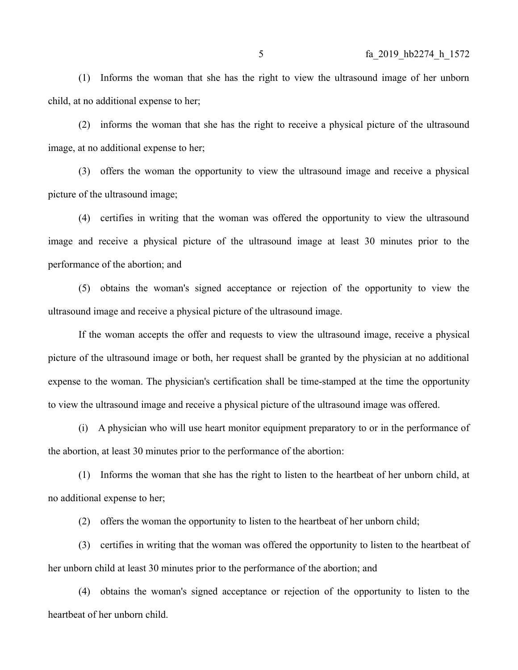(1) Informs the woman that she has the right to view the ultrasound image of her unborn child, at no additional expense to her;

(2) informs the woman that she has the right to receive a physical picture of the ultrasound image, at no additional expense to her;

(3) offers the woman the opportunity to view the ultrasound image and receive a physical picture of the ultrasound image;

(4) certifies in writing that the woman was offered the opportunity to view the ultrasound image and receive a physical picture of the ultrasound image at least 30 minutes prior to the performance of the abortion; and

(5) obtains the woman's signed acceptance or rejection of the opportunity to view the ultrasound image and receive a physical picture of the ultrasound image.

If the woman accepts the offer and requests to view the ultrasound image, receive a physical picture of the ultrasound image or both, her request shall be granted by the physician at no additional expense to the woman. The physician's certification shall be time-stamped at the time the opportunity to view the ultrasound image and receive a physical picture of the ultrasound image was offered.

(i) A physician who will use heart monitor equipment preparatory to or in the performance of the abortion, at least 30 minutes prior to the performance of the abortion:

(1) Informs the woman that she has the right to listen to the heartbeat of her unborn child, at no additional expense to her;

(2) offers the woman the opportunity to listen to the heartbeat of her unborn child;

(3) certifies in writing that the woman was offered the opportunity to listen to the heartbeat of her unborn child at least 30 minutes prior to the performance of the abortion; and

(4) obtains the woman's signed acceptance or rejection of the opportunity to listen to the heartbeat of her unborn child.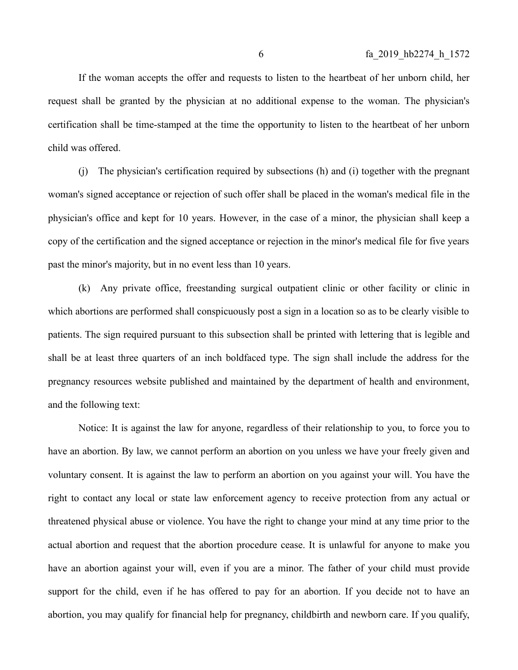If the woman accepts the offer and requests to listen to the heartbeat of her unborn child, her request shall be granted by the physician at no additional expense to the woman. The physician's certification shall be time-stamped at the time the opportunity to listen to the heartbeat of her unborn child was offered.

(j) The physician's certification required by subsections (h) and (i) together with the pregnant woman's signed acceptance or rejection of such offer shall be placed in the woman's medical file in the physician's office and kept for 10 years. However, in the case of a minor, the physician shall keep a copy of the certification and the signed acceptance or rejection in the minor's medical file for five years past the minor's majority, but in no event less than 10 years.

(k) Any private office, freestanding surgical outpatient clinic or other facility or clinic in which abortions are performed shall conspicuously post a sign in a location so as to be clearly visible to patients. The sign required pursuant to this subsection shall be printed with lettering that is legible and shall be at least three quarters of an inch boldfaced type. The sign shall include the address for the pregnancy resources website published and maintained by the department of health and environment, and the following text:

Notice: It is against the law for anyone, regardless of their relationship to you, to force you to have an abortion. By law, we cannot perform an abortion on you unless we have your freely given and voluntary consent. It is against the law to perform an abortion on you against your will. You have the right to contact any local or state law enforcement agency to receive protection from any actual or threatened physical abuse or violence. You have the right to change your mind at any time prior to the actual abortion and request that the abortion procedure cease. It is unlawful for anyone to make you have an abortion against your will, even if you are a minor. The father of your child must provide support for the child, even if he has offered to pay for an abortion. If you decide not to have an abortion, you may qualify for financial help for pregnancy, childbirth and newborn care. If you qualify,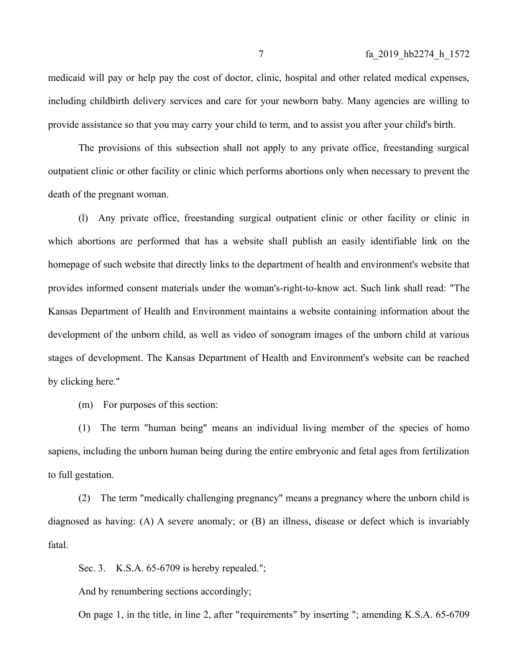medicaid will pay or help pay the cost of doctor, clinic, hospital and other related medical expenses, including childbirth delivery services and care for your newborn baby. Many agencies are willing to provide assistance so that you may carry your child to term, and to assist you after your child's birth.

The provisions of this subsection shall not apply to any private office, freestanding surgical outpatient clinic or other facility or clinic which performs abortions only when necessary to prevent the death of the pregnant woman.

(l) Any private office, freestanding surgical outpatient clinic or other facility or clinic in which abortions are performed that has a website shall publish an easily identifiable link on the homepage of such website that directly links to the department of health and environment's website that provides informed consent materials under the woman's-right-to-know act. Such link shall read: "The Kansas Department of Health and Environment maintains a website containing information about the development of the unborn child, as well as video of sonogram images of the unborn child at various stages of development. The Kansas Department of Health and Environment's website can be reached by clicking here."

(m) For purposes of this section:

(1) The term "human being" means an individual living member of the species of homo sapiens, including the unborn human being during the entire embryonic and fetal ages from fertilization to full gestation.

(2) The term "medically challenging pregnancy" means a pregnancy where the unborn child is diagnosed as having: (A) A severe anomaly; or (B) an illness, disease or defect which is invariably fatal.

Sec. 3. K.S.A. 65-6709 is hereby repealed.";

And by renumbering sections accordingly;

On page 1, in the title, in line 2, after "requirements" by inserting "; amending K.S.A. 65-6709